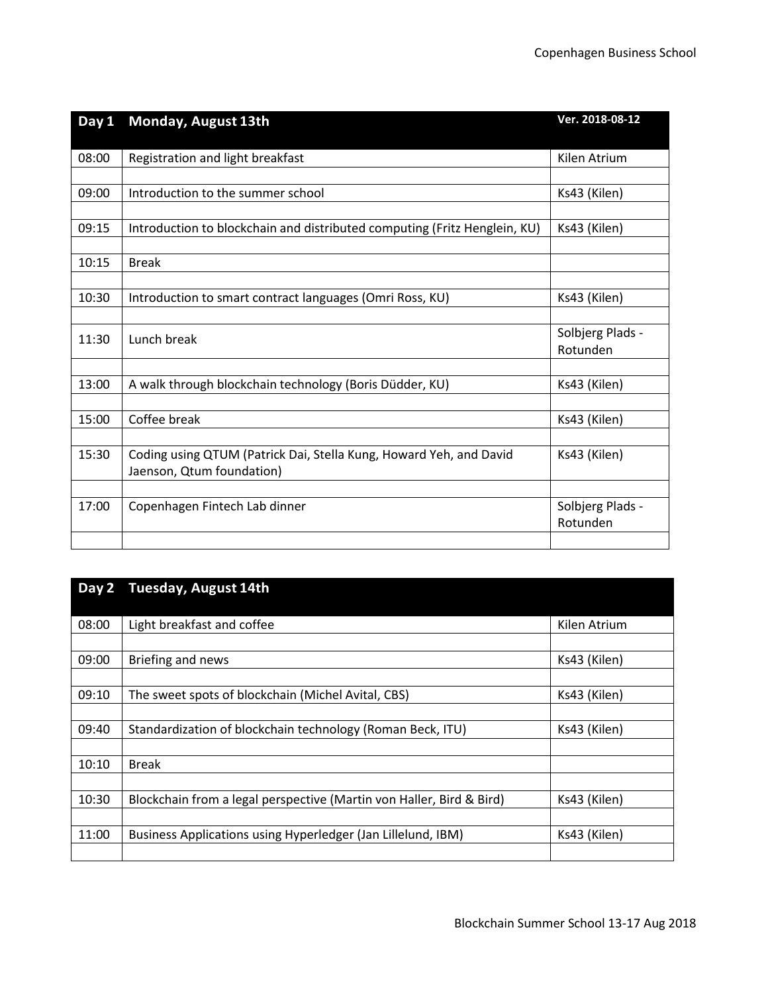| Monday, August 13th                                                       | Ver. 2018-08-12                                                                                                                                                                                                                                                         |
|---------------------------------------------------------------------------|-------------------------------------------------------------------------------------------------------------------------------------------------------------------------------------------------------------------------------------------------------------------------|
|                                                                           |                                                                                                                                                                                                                                                                         |
| Registration and light breakfast                                          | Kilen Atrium                                                                                                                                                                                                                                                            |
|                                                                           |                                                                                                                                                                                                                                                                         |
| Introduction to the summer school                                         | Ks43 (Kilen)                                                                                                                                                                                                                                                            |
|                                                                           |                                                                                                                                                                                                                                                                         |
| Introduction to blockchain and distributed computing (Fritz Henglein, KU) | Ks43 (Kilen)                                                                                                                                                                                                                                                            |
|                                                                           |                                                                                                                                                                                                                                                                         |
| <b>Break</b>                                                              |                                                                                                                                                                                                                                                                         |
|                                                                           |                                                                                                                                                                                                                                                                         |
|                                                                           | Ks43 (Kilen)                                                                                                                                                                                                                                                            |
|                                                                           |                                                                                                                                                                                                                                                                         |
| Lunch break                                                               | Solbjerg Plads -                                                                                                                                                                                                                                                        |
|                                                                           | Rotunden                                                                                                                                                                                                                                                                |
|                                                                           |                                                                                                                                                                                                                                                                         |
|                                                                           | Ks43 (Kilen)                                                                                                                                                                                                                                                            |
|                                                                           |                                                                                                                                                                                                                                                                         |
|                                                                           | Ks43 (Kilen)                                                                                                                                                                                                                                                            |
|                                                                           |                                                                                                                                                                                                                                                                         |
|                                                                           | Ks43 (Kilen)                                                                                                                                                                                                                                                            |
|                                                                           |                                                                                                                                                                                                                                                                         |
|                                                                           | Solbjerg Plads -                                                                                                                                                                                                                                                        |
|                                                                           | Rotunden                                                                                                                                                                                                                                                                |
|                                                                           |                                                                                                                                                                                                                                                                         |
|                                                                           | Introduction to smart contract languages (Omri Ross, KU)<br>A walk through blockchain technology (Boris Düdder, KU)<br>Coffee break<br>Coding using QTUM (Patrick Dai, Stella Kung, Howard Yeh, and David<br>Jaenson, Qtum foundation)<br>Copenhagen Fintech Lab dinner |

| Day 2 | <b>Tuesday, August 14th</b>                                          |              |
|-------|----------------------------------------------------------------------|--------------|
|       |                                                                      |              |
| 08:00 | Light breakfast and coffee                                           | Kilen Atrium |
|       |                                                                      |              |
| 09:00 | Briefing and news                                                    | Ks43 (Kilen) |
|       |                                                                      |              |
| 09:10 | The sweet spots of blockchain (Michel Avital, CBS)                   | Ks43 (Kilen) |
|       |                                                                      |              |
| 09:40 | Standardization of blockchain technology (Roman Beck, ITU)           | Ks43 (Kilen) |
|       |                                                                      |              |
| 10:10 | <b>Break</b>                                                         |              |
|       |                                                                      |              |
| 10:30 | Blockchain from a legal perspective (Martin von Haller, Bird & Bird) | Ks43 (Kilen) |
|       |                                                                      |              |
| 11:00 | Business Applications using Hyperledger (Jan Lillelund, IBM)         | Ks43 (Kilen) |
|       |                                                                      |              |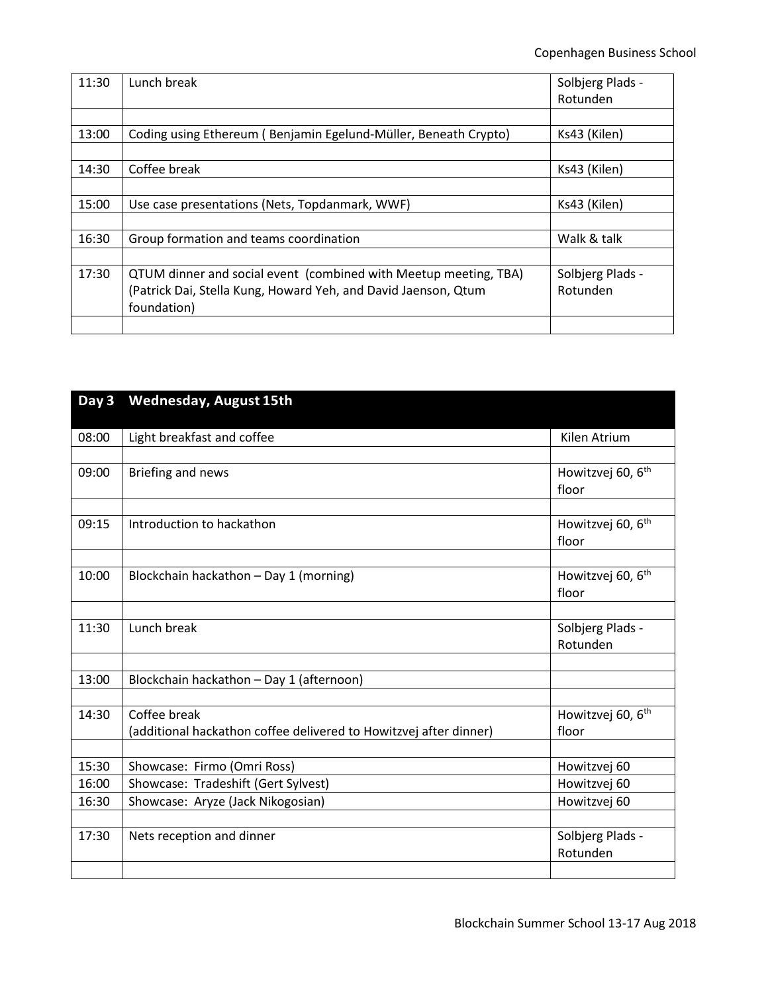| 11:30 | Lunch break                                                      | Solbjerg Plads - |
|-------|------------------------------------------------------------------|------------------|
|       |                                                                  | Rotunden         |
|       |                                                                  |                  |
| 13:00 | Coding using Ethereum (Benjamin Egelund-Müller, Beneath Crypto)  | Ks43 (Kilen)     |
|       |                                                                  |                  |
| 14:30 | Coffee break                                                     | Ks43 (Kilen)     |
|       |                                                                  |                  |
| 15:00 | Use case presentations (Nets, Topdanmark, WWF)                   | Ks43 (Kilen)     |
|       |                                                                  |                  |
| 16:30 | Group formation and teams coordination                           | Walk & talk      |
|       |                                                                  |                  |
| 17:30 | QTUM dinner and social event (combined with Meetup meeting, TBA) | Solbjerg Plads - |
|       | (Patrick Dai, Stella Kung, Howard Yeh, and David Jaenson, Qtum   | Rotunden         |
|       | foundation)                                                      |                  |
|       |                                                                  |                  |

| Day 3 | <b>Wednesday, August 15th</b>                                     |                                        |
|-------|-------------------------------------------------------------------|----------------------------------------|
| 08:00 | Light breakfast and coffee                                        | Kilen Atrium                           |
|       |                                                                   |                                        |
| 09:00 | Briefing and news                                                 | Howitzvej 60, 6 <sup>th</sup><br>floor |
|       |                                                                   |                                        |
| 09:15 | Introduction to hackathon                                         | Howitzvej 60, 6 <sup>th</sup><br>floor |
|       |                                                                   |                                        |
| 10:00 | Blockchain hackathon - Day 1 (morning)                            | Howitzvej 60, 6 <sup>th</sup><br>floor |
|       |                                                                   |                                        |
| 11:30 | Lunch break                                                       | Solbjerg Plads -<br>Rotunden           |
|       |                                                                   |                                        |
| 13:00 | Blockchain hackathon - Day 1 (afternoon)                          |                                        |
|       |                                                                   |                                        |
| 14:30 | Coffee break                                                      | Howitzvej 60, 6 <sup>th</sup>          |
|       | (additional hackathon coffee delivered to Howitzvej after dinner) | floor                                  |
|       |                                                                   |                                        |
| 15:30 | Showcase: Firmo (Omri Ross)                                       | Howitzvej 60                           |
| 16:00 | Showcase: Tradeshift (Gert Sylvest)                               | Howitzvej 60                           |
| 16:30 | Showcase: Aryze (Jack Nikogosian)                                 | Howitzvej 60                           |
|       |                                                                   |                                        |
| 17:30 | Nets reception and dinner                                         | Solbjerg Plads -                       |
|       |                                                                   | Rotunden                               |
|       |                                                                   |                                        |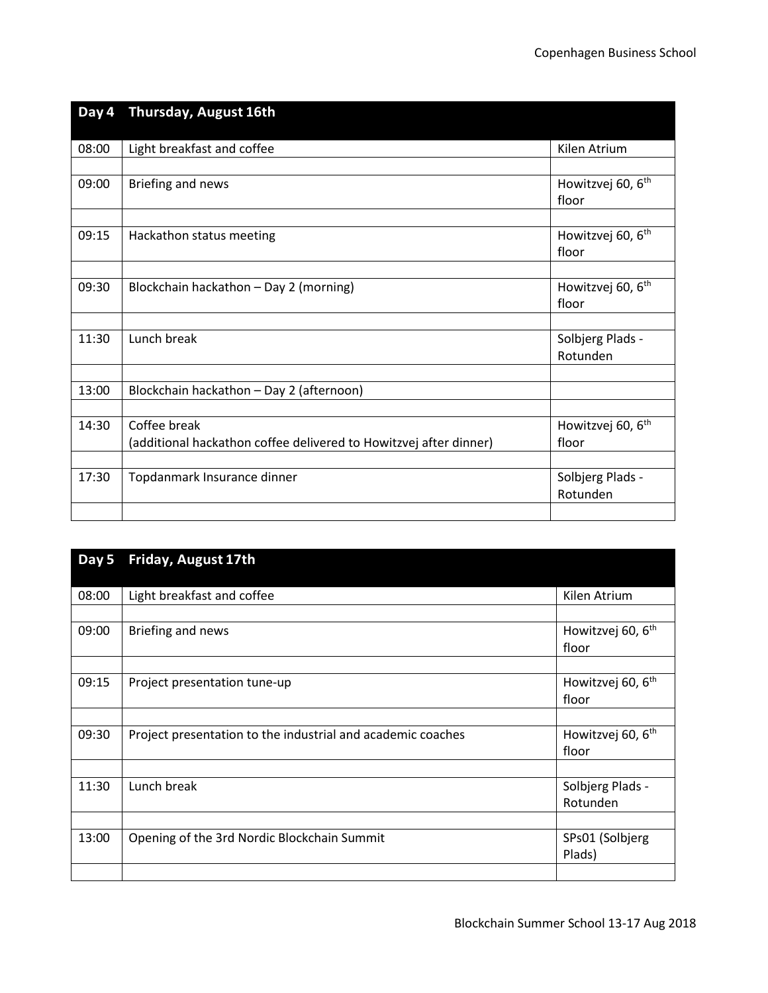| Day 4 | Thursday, August 16th                                             |                               |
|-------|-------------------------------------------------------------------|-------------------------------|
| 08:00 | Light breakfast and coffee                                        | Kilen Atrium                  |
|       |                                                                   |                               |
| 09:00 | Briefing and news                                                 | Howitzvej 60, 6 <sup>th</sup> |
|       |                                                                   | floor                         |
|       |                                                                   |                               |
| 09:15 | Hackathon status meeting                                          | Howitzvej 60, 6 <sup>th</sup> |
|       |                                                                   | floor                         |
| 09:30 | Blockchain hackathon - Day 2 (morning)                            | Howitzvej 60, 6 <sup>th</sup> |
|       |                                                                   | floor                         |
|       |                                                                   |                               |
| 11:30 | Lunch break                                                       | Solbjerg Plads -              |
|       |                                                                   | Rotunden                      |
|       |                                                                   |                               |
| 13:00 | Blockchain hackathon - Day 2 (afternoon)                          |                               |
|       |                                                                   |                               |
| 14:30 | Coffee break                                                      | Howitzvej 60, 6 <sup>th</sup> |
|       | (additional hackathon coffee delivered to Howitzvej after dinner) | floor                         |
|       |                                                                   |                               |
| 17:30 | Topdanmark Insurance dinner                                       | Solbjerg Plads -              |
|       |                                                                   | Rotunden                      |
|       |                                                                   |                               |

| Day 5 | Friday, August 17th                                         |                                        |
|-------|-------------------------------------------------------------|----------------------------------------|
| 08:00 | Light breakfast and coffee                                  | Kilen Atrium                           |
|       |                                                             |                                        |
| 09:00 | Briefing and news                                           | Howitzvej 60, 6 <sup>th</sup>          |
|       |                                                             | floor                                  |
| 09:15 | Project presentation tune-up                                | Howitzvej 60, 6 <sup>th</sup><br>floor |
|       |                                                             |                                        |
| 09:30 | Project presentation to the industrial and academic coaches | Howitzvej 60, 6 <sup>th</sup><br>floor |
|       |                                                             |                                        |
| 11:30 | Lunch break                                                 | Solbjerg Plads -<br>Rotunden           |
|       |                                                             |                                        |
| 13:00 | Opening of the 3rd Nordic Blockchain Summit                 | SPs01 (Solbjerg<br>Plads)              |
|       |                                                             |                                        |